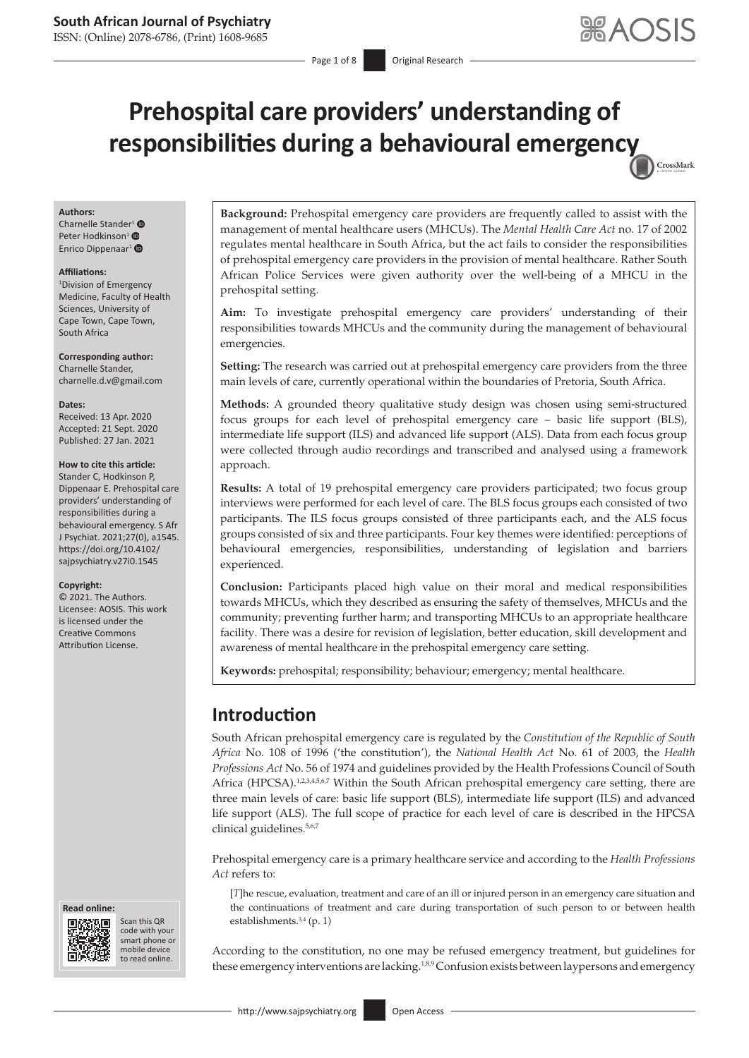ISSN: (Online) 2078-6786, (Print) 1608-9685

Page 1 of 8 **Original Research** 

CrossMark

# **Prehospital care providers' understanding of responsibilities during a behavioural emergen[cy](http://crossmark.crossref.org/dialog/?doi=10.4102/sajpsychiatry.v27i0.1545=pdf&date_stamp=2021-01-27)**

#### **Authors:**

Cha[r](https://orcid.org/0000-0002-0376-7982)nelle Stander<sup>[1](https://orcid.org/0000-0002-7947-6073)</sup> <sup>O</sup> Peter Hodkinson<sup>1</sup> <sup>®</sup> Enrico Dippenaar<sup>[1](https://orcid.org/0000-0001-8406-7373)</sup>

#### **Affiliations:**

1 Division of Emergency Medicine, Faculty of Health Sciences, University of Cape Town, Cape Town, South Africa

**Corresponding author:** Charnelle Stander, [charnelle.d.v@gmail.com](mailto:charnelle.d.v@gmail.com)

#### **Dates:**

Received: 13 Apr. 2020 Accepted: 21 Sept. 2020 Published: 27 Jan. 2021

#### **How to cite this article:**

Stander C, Hodkinson P, Dippenaar E. Prehospital care providers' understanding of responsibilities during a behavioural emergency. S Afr J Psychiat. 2021;27(0), a1545. [https://doi.org/10.4102/](https://doi.org/10.4102/sajpsychiatry.v27i0.1545) [sajpsychiatry.v27i0.1545](https://doi.org/10.4102/sajpsychiatry.v27i0.1545)

#### **Copyright:**

© 2021. The Authors. Licensee: AOSIS. This work is licensed under the Creative Commons Attribution License.

#### **Read online: Read online:**



Scan this QR code with your Scan this QR<br>code with your<br>smart phone or<br>mobile device mobile device to read online. to read online.

**Background:** Prehospital emergency care providers are frequently called to assist with the management of mental healthcare users (MHCUs). The *Mental Health Care Act* no. 17 of 2002 regulates mental healthcare in South Africa, but the act fails to consider the responsibilities of prehospital emergency care providers in the provision of mental healthcare. Rather South African Police Services were given authority over the well-being of a MHCU in the prehospital setting.

**Aim:** To investigate prehospital emergency care providers' understanding of their responsibilities towards MHCUs and the community during the management of behavioural emergencies.

**Setting:** The research was carried out at prehospital emergency care providers from the three main levels of care, currently operational within the boundaries of Pretoria, South Africa.

**Methods:** A grounded theory qualitative study design was chosen using semi-structured focus groups for each level of prehospital emergency care – basic life support (BLS), intermediate life support (ILS) and advanced life support (ALS). Data from each focus group were collected through audio recordings and transcribed and analysed using a framework approach.

**Results:** A total of 19 prehospital emergency care providers participated; two focus group interviews were performed for each level of care. The BLS focus groups each consisted of two participants. The ILS focus groups consisted of three participants each, and the ALS focus groups consisted of six and three participants. Four key themes were identified: perceptions of behavioural emergencies, responsibilities, understanding of legislation and barriers experienced.

**Conclusion:** Participants placed high value on their moral and medical responsibilities towards MHCUs, which they described as ensuring the safety of themselves, MHCUs and the community; preventing further harm; and transporting MHCUs to an appropriate healthcare facility. There was a desire for revision of legislation, better education, skill development and awareness of mental healthcare in the prehospital emergency care setting.

**Keywords:** prehospital; responsibility; behaviour; emergency; mental healthcare.

# **Introduction**

<span id="page-0-1"></span><span id="page-0-0"></span>South African prehospital emergency care is regulated by the *Constitution of the Republic of South Africa* No. 108 of 1996 ('the constitution'), the *National Health Act* No. 61 of 2003, the *Health Professions Act* No. 56 of 1974 and guidelines provided by the Health Professions Council of South Africa (HPCSA).<sup>[1](#page-6-0),[2](#page-6-1),[3](#page-6-2),[4](#page-6-3)[,5](#page-6-4)[,6](#page-6-5)[,7](#page-6-6)</sup> Within the South African prehospital emergency care setting, there are three main levels of care: basic life support (BLS), intermediate life support (ILS) and advanced life support (ALS). The full scope of practice for each level of care is described in the HPCSA clinical guidelines.[5,](#page-6-4)[6](#page-6-5),[7](#page-6-6)

Prehospital emergency care is a primary healthcare service and according to the *Health Professions Act* refers to:

<span id="page-0-2"></span>[*T*]he rescue, evaluation, treatment and care of an ill or injured person in an emergency care situation and the continuations of treatment and care during transportation of such person to or between health establishments. [3,](#page-6-2)[4](#page-6-3) (p. 1)

According to the constitution, no one may be refused emergency treatment, but guidelines for these emergency interventions are lacking.<sup>[1](#page-6-0),[8](#page-6-7),[9](#page-6-8)</sup> Confusion exists between laypersons and emergency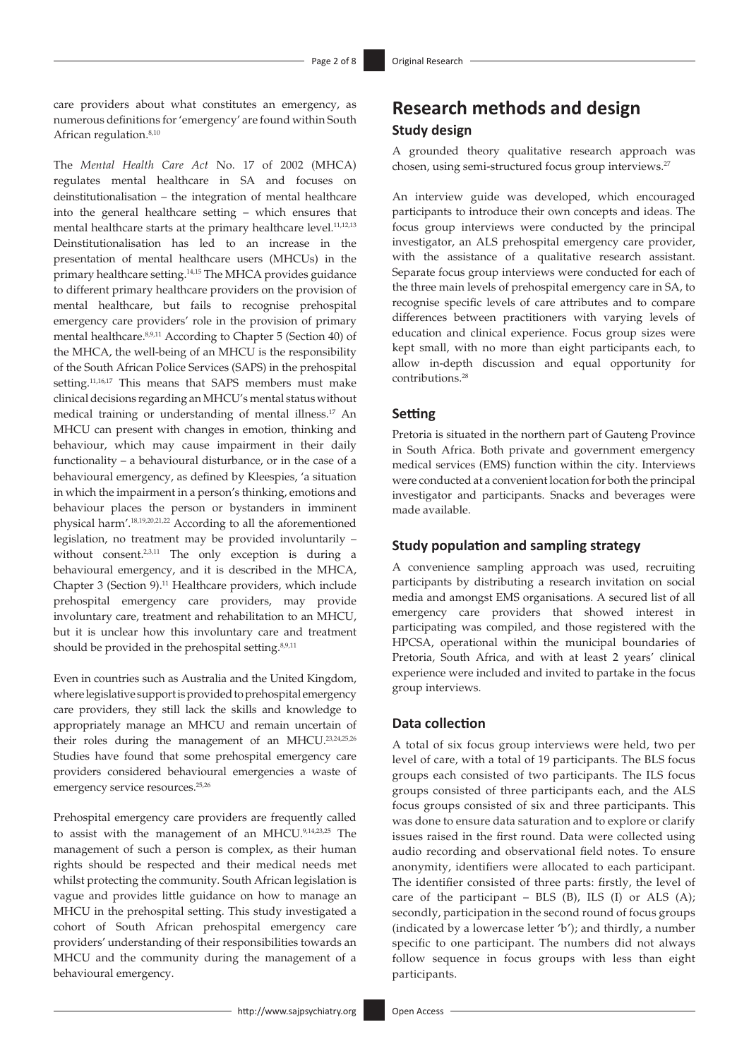care providers about what constitutes an emergency, as numerous definitions for 'emergency' are found within South African regulation.<sup>8,[10](#page-6-9)</sup>

<span id="page-1-5"></span><span id="page-1-3"></span><span id="page-1-1"></span>The *Mental Health Care Act* No. 17 of 2002 (MHCA) regulates mental healthcare in SA and focuses on deinstitutionalisation – the integration of mental healthcare into the general healthcare setting – which ensures that mental healthcare starts at the primary healthcare level[.11](#page-6-10),[12](#page-6-11)[,13](#page-7-0) Deinstitutionalisation has led to an increase in the presentation of mental healthcare users (MHCUs) in the primary healthcare setting[.14,](#page-7-1)[15](#page-7-2) The MHCA provides guidance to different primary healthcare providers on the provision of mental healthcare, but fails to recognise prehospital emergency care providers' role in the provision of primary mental healthcare[.8](#page-6-7)[,9](#page-6-8)[,11](#page-6-10) According to Chapter 5 (Section 40) of the MHCA, the well-being of an MHCU is the responsibility of the South African Police Services (SAPS) in the prehospital setting.<sup>11,[16](#page-7-3),17</sup> This means that SAPS members must make clinical decisions regarding an MHCU's mental status without medical training or understanding of mental illness[.17](#page-7-4) An MHCU can present with changes in emotion, thinking and behaviour, which may cause impairment in their daily functionality – a behavioural disturbance, or in the case of a behavioural emergency, as defined by Kleespies, 'a situation in which the impairment in a person's thinking, emotions and behaviour places the person or bystanders in imminent physical harm'[.18](#page-7-5),[19,](#page-7-6)[20](#page-7-7),[21,](#page-7-8)[22](#page-7-9) According to all the aforementioned legislation, no treatment may be provided involuntarily – without consent.<sup>2,[3,](#page-6-2)[11](#page-6-10)</sup> The only exception is during a behavioural emergency, and it is described in the MHCA, Chapter 3 (Section 9).[11](#page-6-10) Healthcare providers, which include prehospital emergency care providers, may provide involuntary care, treatment and rehabilitation to an MHCU, but it is unclear how this involuntary care and treatment should be provided in the prehospital setting.<sup>[8](#page-6-7),[9](#page-6-8),[11](#page-6-10)</sup>

<span id="page-1-8"></span><span id="page-1-6"></span>Even in countries such as Australia and the United Kingdom, where legislative support is provided to prehospital emergency care providers, they still lack the skills and knowledge to appropriately manage an MHCU and remain uncertain of their roles during the management of an MHCU[.23](#page-7-10)[,24,](#page-7-11)[25](#page-7-12)[,26](#page-7-13) Studies have found that some prehospital emergency care providers considered behavioural emergencies a waste of emergency service resources.<sup>[25](#page-7-12)[,26](#page-7-13)</sup>

Prehospital emergency care providers are frequently called to assist with the management of an MHCU.[9](#page-6-8),[14](#page-7-1)[,23,](#page-7-10)[25](#page-7-12) The management of such a person is complex, as their human rights should be respected and their medical needs met whilst protecting the community. South African legislation is vague and provides little guidance on how to manage an MHCU in the prehospital setting. This study investigated a cohort of South African prehospital emergency care providers' understanding of their responsibilities towards an MHCU and the community during the management of a behavioural emergency.

# **Research methods and design Study design**

<span id="page-1-10"></span><span id="page-1-0"></span>A grounded theory qualitative research approach was chosen, using semi-structured focus group interviews.<sup>[27](#page-7-14)</sup>

<span id="page-1-4"></span><span id="page-1-2"></span>An interview guide was developed, which encouraged participants to introduce their own concepts and ideas. The focus group interviews were conducted by the principal investigator, an ALS prehospital emergency care provider, with the assistance of a qualitative research assistant. Separate focus group interviews were conducted for each of the three main levels of prehospital emergency care in SA, to recognise specific levels of care attributes and to compare differences between practitioners with varying levels of education and clinical experience. Focus group sizes were kept small, with no more than eight participants each, to allow in-depth discussion and equal opportunity for contributions[.28](#page-7-15)

### <span id="page-1-11"></span>**Setting**

Pretoria is situated in the northern part of Gauteng Province in South Africa. Both private and government emergency medical services (EMS) function within the city. Interviews were conducted at a convenient location for both the principal investigator and participants. Snacks and beverages were made available.

### <span id="page-1-7"></span>**Study population and sampling strategy**

A convenience sampling approach was used, recruiting participants by distributing a research invitation on social media and amongst EMS organisations. A secured list of all emergency care providers that showed interest in participating was compiled, and those registered with the HPCSA, operational within the municipal boundaries of Pretoria, South Africa, and with at least 2 years' clinical experience were included and invited to partake in the focus group interviews.

# **Data collection**

<span id="page-1-9"></span>A total of six focus group interviews were held, two per level of care, with a total of 19 participants. The BLS focus groups each consisted of two participants. The ILS focus groups consisted of three participants each, and the ALS focus groups consisted of six and three participants. This was done to ensure data saturation and to explore or clarify issues raised in the first round. Data were collected using audio recording and observational field notes. To ensure anonymity, identifiers were allocated to each participant. The identifier consisted of three parts: firstly, the level of care of the participant  $-$  BLS (B), ILS (I) or ALS (A); secondly, participation in the second round of focus groups (indicated by a lowercase letter 'b'); and thirdly, a number specific to one participant. The numbers did not always follow sequence in focus groups with less than eight participants.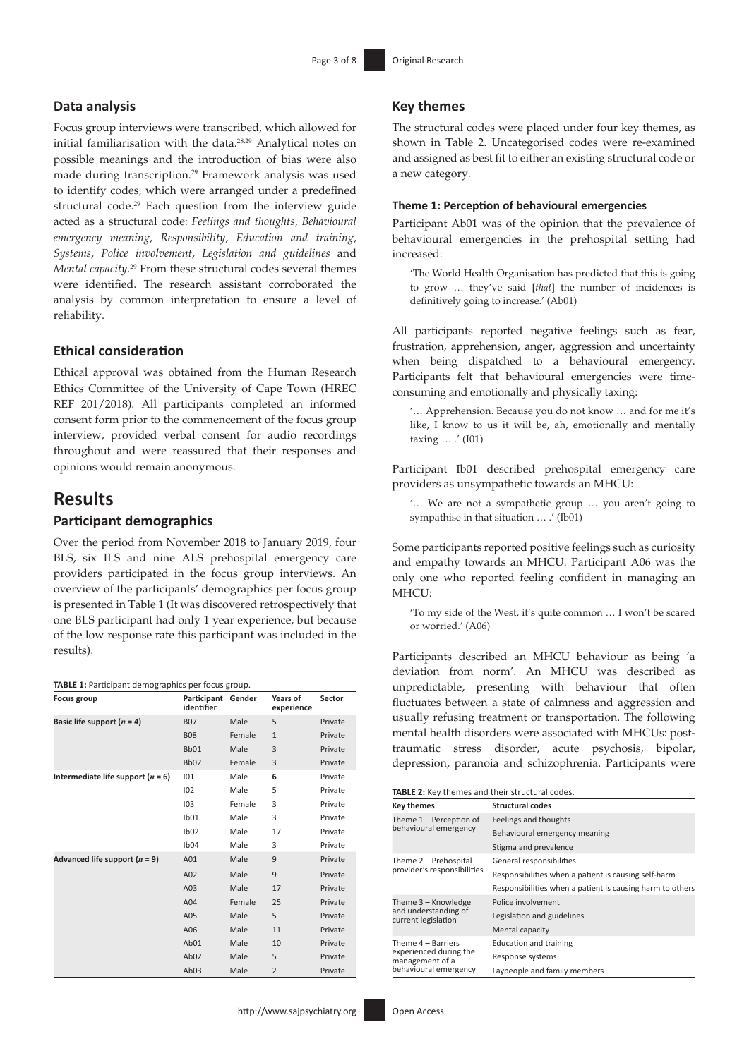# **Data analysis**

Focus group interviews were transcribed, which allowed for initial familiarisation with the data[.28,](#page-7-15)[29](#page-7-16) Analytical notes on possible meanings and the introduction of bias were also made during transcription[.29](#page-7-16) Framework analysis was used to identify codes, which were arranged under a predefined structural code.<sup>29</sup> Each question from the interview guide acted as a structural code: *Feelings and thoughts*, *Behavioural emergency meaning*, *Responsibility*, *Education and training*, *Systems*, *Police involvement*, *Legislation and guidelines* and *Mental capacity*. [29](#page-7-16) From these structural codes several themes were identified. The research assistant corroborated the analysis by common interpretation to ensure a level of reliability.

### **Ethical consideration**

Ethical approval was obtained from the Human Research Ethics Committee of the University of Cape Town (HREC REF 201/2018). All participants completed an informed consent form prior to the commencement of the focus group interview, provided verbal consent for audio recordings throughout and were reassured that their responses and opinions would remain anonymous.

# **Results**

### **Participant demographics**

Over the period from November 2018 to January 2019, four BLS, six ILS and nine ALS prehospital emergency care providers participated in the focus group interviews. An overview of the participants' demographics per focus group is presented in Table 1 (It was discovered retrospectively that one BLS participant had only 1 year experience, but because of the low response rate this participant was included in the results).

| TABLE 1: Participant demographics per focus group. |  |  |  |
|----------------------------------------------------|--|--|--|
|----------------------------------------------------|--|--|--|

| Focus group                         | Participant<br>identifier | Gender | Years of<br>experience | Sector  |
|-------------------------------------|---------------------------|--------|------------------------|---------|
| Basic life support $(n = 4)$        | <b>B07</b>                | Male   | 5                      | Private |
|                                     | <b>B08</b>                | Female | $\mathbf{1}$           | Private |
|                                     | Bb01                      | Male   | 3                      | Private |
|                                     | Bb <sub>02</sub>          | Female | 3                      | Private |
| Intermediate life support $(n = 6)$ | 101                       | Male   | 6                      | Private |
|                                     | 102                       | Male   | 5                      | Private |
|                                     | 103                       | Female | 3                      | Private |
|                                     | Ib01                      | Male   | 3                      | Private |
|                                     | 1 <sub>b02</sub>          | Male   | 17                     | Private |
|                                     | Ib04                      | Male   | 3                      | Private |
| Advanced life support $(n = 9)$     | A01                       | Male   | 9                      | Private |
|                                     | A02                       | Male   | 9                      | Private |
|                                     | A03                       | Male   | 17                     | Private |
|                                     | A04                       | Female | 25                     | Private |
|                                     | A05                       | Male   | 5                      | Private |
|                                     | A06                       | Male   | 11                     | Private |
|                                     | Ab <sub>01</sub>          | Male   | 10                     | Private |
|                                     | Ab <sub>02</sub>          | Male   | 5                      | Private |
|                                     | Ab <sub>03</sub>          | Male   | $\overline{2}$         | Private |

# **Key themes**

<span id="page-2-0"></span>The structural codes were placed under four key themes, as shown in Table 2. Uncategorised codes were re-examined and assigned as best fit to either an existing structural code or a new category.

#### **Theme 1: Perception of behavioural emergencies**

Participant Ab01 was of the opinion that the prevalence of behavioural emergencies in the prehospital setting had increased:

'The World Health Organisation has predicted that this is going to grow … they've said [*that*] the number of incidences is definitively going to increase.' (Ab01)

All participants reported negative feelings such as fear, frustration, apprehension, anger, aggression and uncertainty when being dispatched to a behavioural emergency. Participants felt that behavioural emergencies were timeconsuming and emotionally and physically taxing:

'… Apprehension. Because you do not know … and for me it's like, I know to us it will be, ah, emotionally and mentally taxing  $\ldots$  .' (I01)

Participant Ib01 described prehospital emergency care providers as unsympathetic towards an MHCU:

'… We are not a sympathetic group … you aren't going to sympathise in that situation … .' (Ib01)

Some participants reported positive feelings such as curiosity and empathy towards an MHCU. Participant A06 was the only one who reported feeling confident in managing an MHCU-

'To my side of the West, it's quite common … I won't be scared or worried.' (A06)

Participants described an MHCU behaviour as being 'a deviation from norm'. An MHCU was described as unpredictable, presenting with behaviour that often fluctuates between a state of calmness and aggression and usually refusing treatment or transportation. The following mental health disorders were associated with MHCUs: posttraumatic stress disorder, acute psychosis, bipolar, depression, paranoia and schizophrenia. Participants were

**TABLE 2:** Key themes and their structural codes.

| <b>Key themes</b>                                                                        | <b>Structural codes</b>                                   |
|------------------------------------------------------------------------------------------|-----------------------------------------------------------|
| Theme $1$ – Perception of<br>behavioural emergency                                       | Feelings and thoughts                                     |
|                                                                                          | Behavioural emergency meaning                             |
|                                                                                          | Stigma and prevalence                                     |
| Theme 2 - Prehospital<br>provider's responsibilities                                     | General responsibilities                                  |
|                                                                                          | Responsibilities when a patient is causing self-harm      |
|                                                                                          | Responsibilities when a patient is causing harm to others |
| Theme 3 – Knowledge<br>and understanding of<br>current legislation                       | Police involvement                                        |
|                                                                                          | Legislation and guidelines                                |
|                                                                                          | Mental capacity                                           |
| Theme 4 – Barriers<br>experienced during the<br>management of a<br>behavioural emergency | <b>Education and training</b>                             |
|                                                                                          | Response systems                                          |
|                                                                                          | Laypeople and family members                              |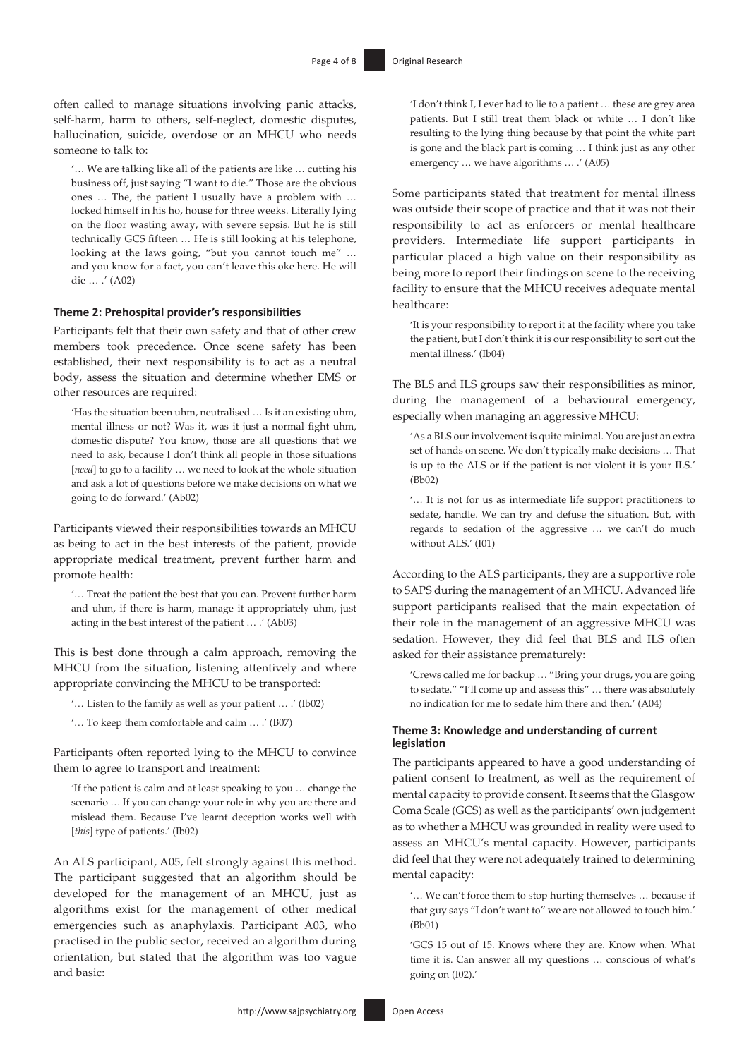often called to manage situations involving panic attacks, self-harm, harm to others, self-neglect, domestic disputes, hallucination, suicide, overdose or an MHCU who needs someone to talk to:

'… We are talking like all of the patients are like … cutting his business off, just saying "I want to die." Those are the obvious ones … The, the patient I usually have a problem with … locked himself in his ho, house for three weeks. Literally lying on the floor wasting away, with severe sepsis. But he is still technically GCS fifteen … He is still looking at his telephone, looking at the laws going, "but you cannot touch me" … and you know for a fact, you can't leave this oke here. He will die … .' (A02)

#### **Theme 2: Prehospital provider's responsibilities**

Participants felt that their own safety and that of other crew members took precedence. Once scene safety has been established, their next responsibility is to act as a neutral body, assess the situation and determine whether EMS or other resources are required:

'Has the situation been uhm, neutralised … Is it an existing uhm, mental illness or not? Was it, was it just a normal fight uhm, domestic dispute? You know, those are all questions that we need to ask, because I don't think all people in those situations [*need*] to go to a facility ... we need to look at the whole situation and ask a lot of questions before we make decisions on what we going to do forward.' (Ab02)

Participants viewed their responsibilities towards an MHCU as being to act in the best interests of the patient, provide appropriate medical treatment, prevent further harm and promote health:

'… Treat the patient the best that you can. Prevent further harm and uhm, if there is harm, manage it appropriately uhm, just acting in the best interest of the patient … .' (Ab03)

This is best done through a calm approach, removing the MHCU from the situation, listening attentively and where appropriate convincing the MHCU to be transported:

'… Listen to the family as well as your patient … .' (Ib02)

'… To keep them comfortable and calm … .' (B07)

Participants often reported lying to the MHCU to convince them to agree to transport and treatment:

'If the patient is calm and at least speaking to you … change the scenario … If you can change your role in why you are there and mislead them. Because I've learnt deception works well with [*this*] type of patients.' (Ib02)

An ALS participant, A05, felt strongly against this method. The participant suggested that an algorithm should be developed for the management of an MHCU, just as algorithms exist for the management of other medical emergencies such as anaphylaxis. Participant A03, who practised in the public sector, received an algorithm during orientation, but stated that the algorithm was too vague and basic:

'I don't think I, I ever had to lie to a patient … these are grey area patients. But I still treat them black or white … I don't like resulting to the lying thing because by that point the white part is gone and the black part is coming … I think just as any other emergency … we have algorithms … .' (A05)

Some participants stated that treatment for mental illness was outside their scope of practice and that it was not their responsibility to act as enforcers or mental healthcare providers. Intermediate life support participants in particular placed a high value on their responsibility as being more to report their findings on scene to the receiving facility to ensure that the MHCU receives adequate mental healthcare:

'It is your responsibility to report it at the facility where you take the patient, but I don't think it is our responsibility to sort out the mental illness.' (Ib04)

The BLS and ILS groups saw their responsibilities as minor, during the management of a behavioural emergency, especially when managing an aggressive MHCU:

'As a BLS our involvement is quite minimal. You are just an extra set of hands on scene. We don't typically make decisions … That is up to the ALS or if the patient is not violent it is your ILS.' (Bb02)

'… It is not for us as intermediate life support practitioners to sedate, handle. We can try and defuse the situation. But, with regards to sedation of the aggressive … we can't do much without ALS.' (I01)

According to the ALS participants, they are a supportive role to SAPS during the management of an MHCU. Advanced life support participants realised that the main expectation of their role in the management of an aggressive MHCU was sedation. However, they did feel that BLS and ILS often asked for their assistance prematurely:

'Crews called me for backup … "Bring your drugs, you are going to sedate." "I'll come up and assess this" … there was absolutely no indication for me to sedate him there and then.' (A04)

#### **Theme 3: Knowledge and understanding of current legislation**

The participants appeared to have a good understanding of patient consent to treatment, as well as the requirement of mental capacity to provide consent. It seems that the Glasgow Coma Scale (GCS) as well as the participants' own judgement as to whether a MHCU was grounded in reality were used to assess an MHCU's mental capacity. However, participants did feel that they were not adequately trained to determining mental capacity:

'… We can't force them to stop hurting themselves … because if that guy says "I don't want to" we are not allowed to touch him.' (Bb01)

'GCS 15 out of 15. Knows where they are. Know when. What time it is. Can answer all my questions … conscious of what's going on (I02).'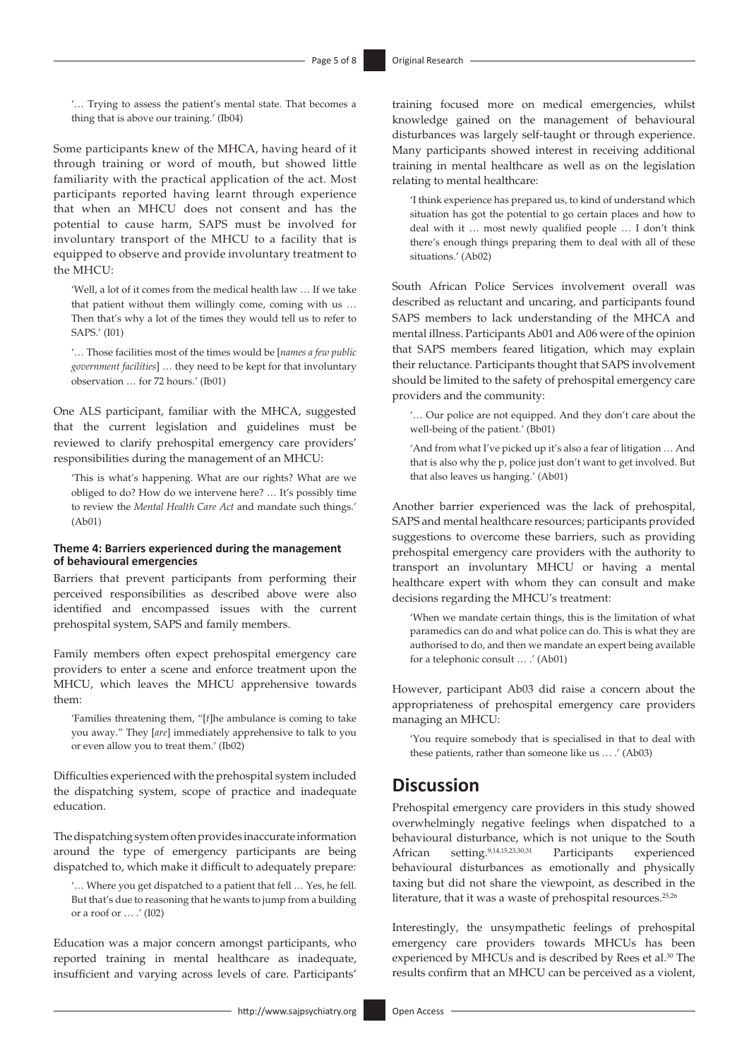'… Trying to assess the patient's mental state. That becomes a thing that is above our training.' (Ib04)

Some participants knew of the MHCA, having heard of it through training or word of mouth, but showed little familiarity with the practical application of the act. Most participants reported having learnt through experience that when an MHCU does not consent and has the potential to cause harm, SAPS must be involved for involuntary transport of the MHCU to a facility that is equipped to observe and provide involuntary treatment to the MHCU:

'Well, a lot of it comes from the medical health law … If we take that patient without them willingly come, coming with us … Then that's why a lot of the times they would tell us to refer to SAPS.' (I01)

'… Those facilities most of the times would be [*names a few public government facilities*] … they need to be kept for that involuntary observation … for 72 hours.' (Ib01)

One ALS participant, familiar with the MHCA, suggested that the current legislation and guidelines must be reviewed to clarify prehospital emergency care providers' responsibilities during the management of an MHCU:

'This is what's happening. What are our rights? What are we obliged to do? How do we intervene here? … It's possibly time to review the *Mental Health Care Act* and mandate such things.' (Ab01)

#### **Theme 4: Barriers experienced during the management of behavioural emergencies**

Barriers that prevent participants from performing their perceived responsibilities as described above were also identified and encompassed issues with the current prehospital system, SAPS and family members.

Family members often expect prehospital emergency care providers to enter a scene and enforce treatment upon the MHCU, which leaves the MHCU apprehensive towards them:

'Families threatening them, "[*t*]he ambulance is coming to take you away." They [*are*] immediately apprehensive to talk to you or even allow you to treat them.' (Ib02)

Difficulties experienced with the prehospital system included the dispatching system, scope of practice and inadequate education.

The dispatching system often provides inaccurate information around the type of emergency participants are being dispatched to, which make it difficult to adequately prepare:

'… Where you get dispatched to a patient that fell … Yes, he fell. But that's due to reasoning that he wants to jump from a building or a roof or … .' (I02)

Education was a major concern amongst participants, who reported training in mental healthcare as inadequate, insufficient and varying across levels of care. Participants' training focused more on medical emergencies, whilst knowledge gained on the management of behavioural disturbances was largely self-taught or through experience. Many participants showed interest in receiving additional training in mental healthcare as well as on the legislation relating to mental healthcare:

'I think experience has prepared us, to kind of understand which situation has got the potential to go certain places and how to deal with it … most newly qualified people … I don't think there's enough things preparing them to deal with all of these situations.' (Ab02)

South African Police Services involvement overall was described as reluctant and uncaring, and participants found SAPS members to lack understanding of the MHCA and mental illness. Participants Ab01 and A06 were of the opinion that SAPS members feared litigation, which may explain their reluctance. Participants thought that SAPS involvement should be limited to the safety of prehospital emergency care providers and the community:

'… Our police are not equipped. And they don't care about the well-being of the patient.' (Bb01)

'And from what I've picked up it's also a fear of litigation … And that is also why the p, police just don't want to get involved. But that also leaves us hanging.' (Ab01)

Another barrier experienced was the lack of prehospital, SAPS and mental healthcare resources; participants provided suggestions to overcome these barriers, such as providing prehospital emergency care providers with the authority to transport an involuntary MHCU or having a mental healthcare expert with whom they can consult and make decisions regarding the MHCU's treatment:

'When we mandate certain things, this is the limitation of what paramedics can do and what police can do. This is what they are authorised to do, and then we mandate an expert being available for a telephonic consult … .' (Ab01)

However, participant Ab03 did raise a concern about the appropriateness of prehospital emergency care providers managing an MHCU:

'You require somebody that is specialised in that to deal with these patients, rather than someone like us … .' (Ab03)

# **Discussion**

<span id="page-4-0"></span>Prehospital emergency care providers in this study showed overwhelmingly negative feelings when dispatched to a behavioural disturbance, which is not unique to the South African setting.[9](#page-6-8),[14](#page-7-1)[,15](#page-7-2),[23](#page-7-10)[,30,](#page-7-17)[31](#page-7-18) Participants experienced behavioural disturbances as emotionally and physically taxing but did not share the viewpoint, as described in the literature, that it was a waste of prehospital resources.<sup>[25,](#page-7-12)[26](#page-7-13)</sup>

Interestingly, the unsympathetic feelings of prehospital emergency care providers towards MHCUs has been experienced by MHCUs and is described by Rees et al.<sup>30</sup> The results confirm that an MHCU can be perceived as a violent,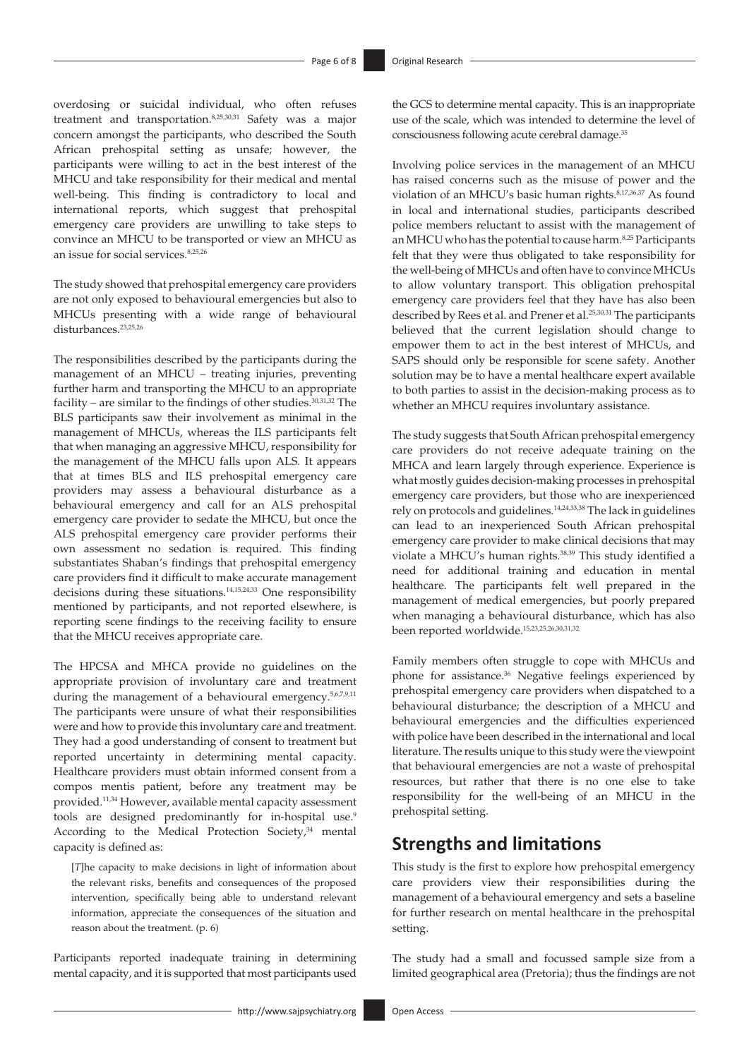overdosing or suicidal individual, who often refuses treatment and transportation[.8](#page-6-7)[,25](#page-7-12),[30](#page-7-17)[,31](#page-7-18) Safety was a major concern amongst the participants, who described the South African prehospital setting as unsafe; however, the participants were willing to act in the best interest of the MHCU and take responsibility for their medical and mental well-being. This finding is contradictory to local and international reports, which suggest that prehospital emergency care providers are unwilling to take steps to convince an MHCU to be transported or view an MHCU as an issue for social services.<sup>[8,](#page-6-7)[25](#page-7-12)[,26](#page-7-13)</sup>

The study showed that prehospital emergency care providers are not only exposed to behavioural emergencies but also to MHCUs presenting with a wide range of behavioural disturbances.<sup>23,[25](#page-7-12),[26](#page-7-13)</sup>

The responsibilities described by the participants during the management of an MHCU – treating injuries, preventing further harm and transporting the MHCU to an appropriate facility – are similar to the findings of other studies.<sup>[30](#page-7-17)[,31,](#page-7-18)[32](#page-7-19)</sup> The BLS participants saw their involvement as minimal in the management of MHCUs, whereas the ILS participants felt that when managing an aggressive MHCU, responsibility for the management of the MHCU falls upon ALS. It appears that at times BLS and ILS prehospital emergency care providers may assess a behavioural disturbance as a behavioural emergency and call for an ALS prehospital emergency care provider to sedate the MHCU, but once the ALS prehospital emergency care provider performs their own assessment no sedation is required. This finding substantiates Shaban's findings that prehospital emergency care providers find it difficult to make accurate management decisions during these situations.[14](#page-7-1)[,15,](#page-7-2)[24](#page-7-11),[33](#page-7-20) One responsibility mentioned by participants, and not reported elsewhere, is reporting scene findings to the receiving facility to ensure that the MHCU receives appropriate care.

The HPCSA and MHCA provide no guidelines on the appropriate provision of involuntary care and treatment during the management of a behavioural emergency[.5](#page-6-4)[,6](#page-6-5)[,7](#page-6-6)[,9](#page-6-8)[,11](#page-6-10) The participants were unsure of what their responsibilities were and how to provide this involuntary care and treatment. They had a good understanding of consent to treatment but reported uncertainty in determining mental capacity. Healthcare providers must obtain informed consent from a compos mentis patient, before any treatment may be provided.[11](#page-6-10)[,34](#page-7-21) However, available mental capacity assessment tools are designed predominantly for in-hospital use.<sup>[9](#page-6-8)</sup> According to the Medical Protection Society, $34$  mental capacity is defined as:

<span id="page-5-2"></span>[*T*]he capacity to make decisions in light of information about the relevant risks, benefits and consequences of the proposed intervention, specifically being able to understand relevant information, appreciate the consequences of the situation and reason about the treatment. (p. 6)

Participants reported inadequate training in determining mental capacity, and it is supported that most participants used

<span id="page-5-3"></span>the GCS to determine mental capacity. This is an inappropriate use of the scale, which was intended to determine the level of consciousness following acute cerebral damage.<sup>35</sup>

<span id="page-5-4"></span>Involving police services in the management of an MHCU has raised concerns such as the misuse of power and the violation of an MHCU's basic human rights.<sup>8[,17](#page-7-4),[36](#page-7-23),37</sup> As found in local and international studies, participants described police members reluctant to assist with the management of an MHCU who has the potential to cause harm.<sup>[8](#page-6-7),25</sup> Participants felt that they were thus obligated to take responsibility for the well-being of MHCUs and often have to convince MHCUs to allow voluntary transport. This obligation prehospital emergency care providers feel that they have has also been described by Rees et al. and Prener et al.<sup>25,[30](#page-7-17),31</sup> The participants believed that the current legislation should change to empower them to act in the best interest of MHCUs, and SAPS should only be responsible for scene safety. Another solution may be to have a mental healthcare expert available to both parties to assist in the decision-making process as to whether an MHCU requires involuntary assistance.

<span id="page-5-5"></span><span id="page-5-0"></span>The study suggests that South African prehospital emergency care providers do not receive adequate training on the MHCA and learn largely through experience. Experience is what mostly guides decision-making processes in prehospital emergency care providers, but those who are inexperienced rely on protocols and guidelines[.14,](#page-7-1)[24](#page-7-11),[33,](#page-7-20)[38](#page-7-25) The lack in guidelines can lead to an inexperienced South African prehospital emergency care provider to make clinical decisions that may violate a MHCU's human rights.<sup>38,[39](#page-7-26)</sup> This study identified a need for additional training and education in mental healthcare. The participants felt well prepared in the management of medical emergencies, but poorly prepared when managing a behavioural disturbance, which has also been reported worldwide.[15](#page-7-2)[,23,](#page-7-10)[25](#page-7-12),[26,](#page-7-13)[30](#page-7-17),[31](#page-7-18)[,32](#page-7-19)

<span id="page-5-6"></span><span id="page-5-1"></span>Family members often struggle to cope with MHCUs and phone for assistance.[36](#page-7-23) Negative feelings experienced by prehospital emergency care providers when dispatched to a behavioural disturbance; the description of a MHCU and behavioural emergencies and the difficulties experienced with police have been described in the international and local literature. The results unique to this study were the viewpoint that behavioural emergencies are not a waste of prehospital resources, but rather that there is no one else to take responsibility for the well-being of an MHCU in the prehospital setting.

# **Strengths and limitations**

This study is the first to explore how prehospital emergency care providers view their responsibilities during the management of a behavioural emergency and sets a baseline for further research on mental healthcare in the prehospital setting.

The study had a small and focussed sample size from a limited geographical area (Pretoria); thus the findings are not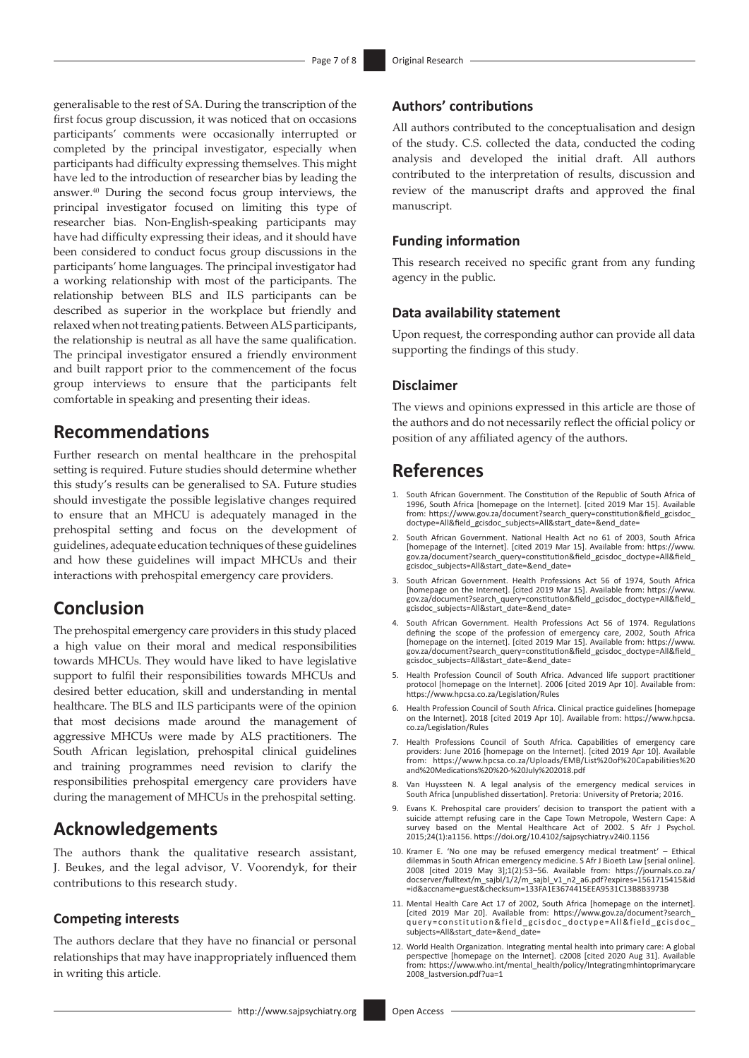<span id="page-6-12"></span>generalisable to the rest of SA. During the transcription of the first focus group discussion, it was noticed that on occasions participants' comments were occasionally interrupted or completed by the principal investigator, especially when participants had difficulty expressing themselves. This might have led to the introduction of researcher bias by leading the answer.[40](#page-7-27) During the second focus group interviews, the principal investigator focused on limiting this type of researcher bias. Non-English-speaking participants may have had difficulty expressing their ideas, and it should have been considered to conduct focus group discussions in the participants' home languages. The principal investigator had a working relationship with most of the participants. The relationship between BLS and ILS participants can be described as superior in the workplace but friendly and relaxed when not treating patients. Between ALS participants, the relationship is neutral as all have the same qualification. The principal investigator ensured a friendly environment and built rapport prior to the commencement of the focus group interviews to ensure that the participants felt comfortable in speaking and presenting their ideas.

# **Recommendations**

Further research on mental healthcare in the prehospital setting is required. Future studies should determine whether this study's results can be generalised to SA. Future studies should investigate the possible legislative changes required to ensure that an MHCU is adequately managed in the prehospital setting and focus on the development of guidelines, adequate education techniques of these guidelines and how these guidelines will impact MHCUs and their interactions with prehospital emergency care providers.

# **Conclusion**

The prehospital emergency care providers in this study placed a high value on their moral and medical responsibilities towards MHCUs. They would have liked to have legislative support to fulfil their responsibilities towards MHCUs and desired better education, skill and understanding in mental healthcare. The BLS and ILS participants were of the opinion that most decisions made around the management of aggressive MHCUs were made by ALS practitioners. The South African legislation, prehospital clinical guidelines and training programmes need revision to clarify the responsibilities prehospital emergency care providers have during the management of MHCUs in the prehospital setting.

# **Acknowledgements**

The authors thank the qualitative research assistant, J. Beukes, and the legal advisor, V. Voorendyk, for their contributions to this research study.

### **Competing interests**

The authors declare that they have no financial or personal relationships that may have inappropriately influenced them in writing this article.

### **Authors' contributions**

All authors contributed to the conceptualisation and design of the study. C.S. collected the data, conducted the coding analysis and developed the initial draft. All authors contributed to the interpretation of results, discussion and review of the manuscript drafts and approved the final manuscript.

## **Funding information**

This research received no specific grant from any funding agency in the public.

### **Data availability statement**

Upon request, the corresponding author can provide all data supporting the findings of this study.

### **Disclaimer**

The views and opinions expressed in this article are those of the authors and do not necessarily reflect the official policy or position of any affiliated agency of the authors.

# **References**

- <span id="page-6-0"></span>[1.](#page-0-0) South African Government. The Constitution of the Republic of South Africa of 1996, South Africa [homepage on the Internet]. [cited 2019 Mar 15]. Available from: [https://www.gov.za/document?search\\_query=constitution&field\\_gcisdoc\\_](https://www.gov.za/document?search_query=constitution&field_gcisdoc_doctype=All&field_gcisdoc_subjects=All&start_date=&end_date=) [doctype=All&field\\_gcisdoc\\_subjects=All&start\\_date=&end\\_date=](https://www.gov.za/document?search_query=constitution&field_gcisdoc_doctype=All&field_gcisdoc_subjects=All&start_date=&end_date=)
- <span id="page-6-1"></span>[2.](#page-0-1) South African Government. National Health Act no 61 of 2003, South Africa [homepage of the Internet]. [cited 2019 Mar 15]. Available from: [https://www.](https://www.gov.za/document?search_query=constitution&field_gcisdoc_doctype=All&field_gcisdoc_subjects=All&start_date=&end_date=) [gov.za/document?search\\_query=constitution&field\\_gcisdoc\\_doctype=All&field\\_](https://www.gov.za/document?search_query=constitution&field_gcisdoc_doctype=All&field_gcisdoc_subjects=All&start_date=&end_date=) [gcisdoc\\_subjects=All&start\\_date=&end\\_date=](https://www.gov.za/document?search_query=constitution&field_gcisdoc_doctype=All&field_gcisdoc_subjects=All&start_date=&end_date=)
- <span id="page-6-2"></span>[3.](#page-0-1) South African Government. Health Professions Act 56 of 1974, South Africa [homepage on the Internet]. [cited 2019 Mar 15]. Available from: [https://www.](https://www.gov.za/document?search_query=constitution&field_gcisdoc_doctype=All&field_gcisdoc_subjects=All&start_date=&end_date=) [gov.za/document?search\\_query=constitution&field\\_gcisdoc\\_doctype=All&field\\_](https://www.gov.za/document?search_query=constitution&field_gcisdoc_doctype=All&field_gcisdoc_subjects=All&start_date=&end_date=) [gcisdoc\\_subjects=All&start\\_date=&end\\_date=](https://www.gov.za/document?search_query=constitution&field_gcisdoc_doctype=All&field_gcisdoc_subjects=All&start_date=&end_date=)
- <span id="page-6-3"></span>[4.](#page-0-1) South African Government. Health Professions Act 56 of 1974. Regulations defining the scope of the profession of emergency care, 2002, South Africa [homepage on the internet]. [cited 2019 Mar 15]. Available from: [https://www.](https://www.gov.za/document?search_query=constitution&field_gcisdoc_doctype=All&field_gcisdoc_subjects=All&start_date=&end_date=) [gov.za/document?search\\_query=constitution&field\\_gcisdoc\\_doctype=All&field\\_](https://www.gov.za/document?search_query=constitution&field_gcisdoc_doctype=All&field_gcisdoc_subjects=All&start_date=&end_date=) [gcisdoc\\_subjects=All&start\\_date=&end\\_date=](https://www.gov.za/document?search_query=constitution&field_gcisdoc_doctype=All&field_gcisdoc_subjects=All&start_date=&end_date=)
- <span id="page-6-4"></span>[5.](#page-0-1) Health Profession Council of South Africa. Advanced life support practitioner protocol [homepage on the Internet]. 2006 [cited 2019 Apr 10]. Available from: <https://www.hpcsa.co.za/Legislation/Rules>
- <span id="page-6-5"></span>[6.](#page-0-1) Health Profession Council of South Africa. Clinical practice guidelines [homepage on the Internet]. 2018 [cited 2019 Apr 10]. Available from: [https://www.hpcsa.](https://www.hpcsa.co.za/Legislation/Rules) [co.za/Legislation/Rules](https://www.hpcsa.co.za/Legislation/Rules)
- <span id="page-6-6"></span>[7.](#page-0-1) Health Professions Council of South Africa. Capabilities of emergency care providers: June 2016 [homepage on the Internet]. [cited 2019 Apr 10]. Available from: [https://www.hpcsa.co.za/Uploads/EMB/List%20of%20Capabilities%20](https://www.hpcsa.co.za/Uploads/EMB/List%20of%20Capabilities%20and%20Medications%20%20-%20July%202018.pdf) [and%20Medications%20%20-%20July%202018.pdf](https://www.hpcsa.co.za/Uploads/EMB/List%20of%20Capabilities%20and%20Medications%20%20-%20July%202018.pdf)
- <span id="page-6-7"></span>[8.](#page-0-2) Van Huyssteen N. A legal analysis of the emergency medical services in South Africa [unpublished dissertation]. Pretoria: University of Pretoria; 2016.
- <span id="page-6-8"></span>[9.](#page-0-2) Evans K. Prehospital care providers' decision to transport the patient with a suicide attempt refusing care in the Cape Town Metropole, Western Cape: A based on the Mental Healthcare Act of 2002. S Afr J Psychol. 2015;24(1):a1156. <https://doi.org/10.4102/sajpsychiatry.v24i0.1156>
- <span id="page-6-9"></span>[10.](#page-1-0) Kramer E. 'No one may be refused emergency medical treatment' – Ethical dilemmas in South African emergency medicine. S Afr J Bioeth Law [serial online]. 2008 [cited 2019 May 3];1(2):53–56. Available from: [https://journals.co.za/](https://journals.co.za/docserver/fulltext/m_sajbl/1/2/m_sajbl_v1_n2_a6.pdf?expires=1561715415&id=id&accname=guest&checksum=133FA1E3674415EEA9531C13B8B3973B) [docserver/fulltext/m\\_sajbl/1/2/m\\_sajbl\\_v1\\_n2\\_a6.pdf?expires=1561715415&id](https://journals.co.za/docserver/fulltext/m_sajbl/1/2/m_sajbl_v1_n2_a6.pdf?expires=1561715415&id=id&accname=guest&checksum=133FA1E3674415EEA9531C13B8B3973B) [=id&accname=guest&checksum=133FA1E3674415EEA9531C13B8B3973B](https://journals.co.za/docserver/fulltext/m_sajbl/1/2/m_sajbl_v1_n2_a6.pdf?expires=1561715415&id=id&accname=guest&checksum=133FA1E3674415EEA9531C13B8B3973B)
- <span id="page-6-10"></span>[11.](#page-1-1) Mental Health Care Act 17 of 2002, South Africa [homepage on the internet]. [cited 2019 Mar 20]. Available from: [https://www.gov.za/document?search\\_](https://www.gov.za/document?search_query=constitution&field_gcisdoc_doctype=All&field_gcisdoc_subjects=All&start_date=&end_date=) [query=constitution&field\\_gcisdoc\\_doctype=All&field\\_gcisdoc\\_](https://www.gov.za/document?search_query=constitution&field_gcisdoc_doctype=All&field_gcisdoc_subjects=All&start_date=&end_date=) [subjects=All&start\\_date=&end\\_date=](https://www.gov.za/document?search_query=constitution&field_gcisdoc_doctype=All&field_gcisdoc_subjects=All&start_date=&end_date=)
- <span id="page-6-11"></span>[12.](#page-1-2) World Health Organization. Integrating mental health into primary care: A global perspective [homepage on the Internet]. c2008 [cited 2020 Aug 31]. Available from: [https://www.who.int/mental\\_health/policy/Integratingmhintoprimarycare](https://www.who.int/mental_health/policy/Integratingmhintoprimarycare2008_lastversion.pdf?ua=1) [2008\\_lastversion.pdf?ua=1](https://www.who.int/mental_health/policy/Integratingmhintoprimarycare2008_lastversion.pdf?ua=1)